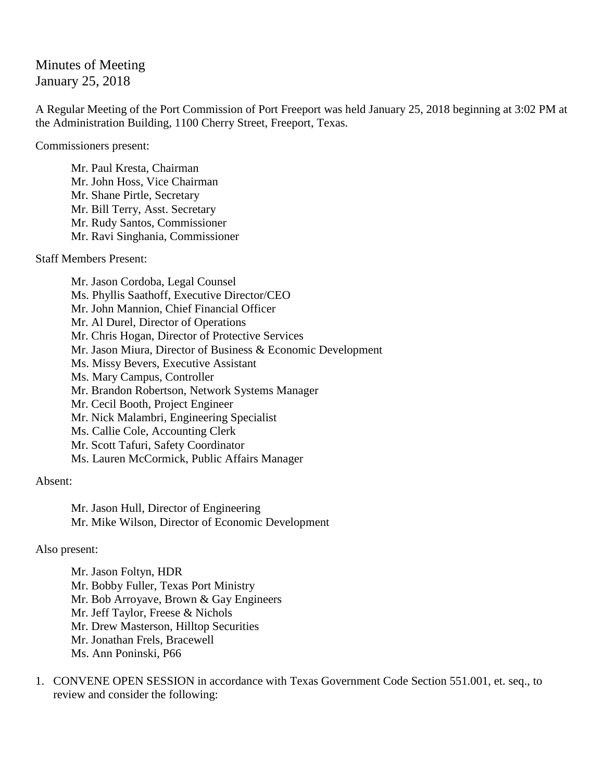## Minutes of Meeting January 25, 2018

A Regular Meeting of the Port Commission of Port Freeport was held January 25, 2018 beginning at 3:02 PM at the Administration Building, 1100 Cherry Street, Freeport, Texas.

Commissioners present:

Mr. Paul Kresta, Chairman Mr. John Hoss, Vice Chairman Mr. Shane Pirtle, Secretary Mr. Bill Terry, Asst. Secretary Mr. Rudy Santos, Commissioner Mr. Ravi Singhania, Commissioner

Staff Members Present:

Mr. Jason Cordoba, Legal Counsel Ms. Phyllis Saathoff, Executive Director/CEO Mr. John Mannion, Chief Financial Officer Mr. Al Durel, Director of Operations Mr. Chris Hogan, Director of Protective Services Mr. Jason Miura, Director of Business & Economic Development Ms. Missy Bevers, Executive Assistant Ms. Mary Campus, Controller Mr. Brandon Robertson, Network Systems Manager Mr. Cecil Booth, Project Engineer Mr. Nick Malambri, Engineering Specialist Ms. Callie Cole, Accounting Clerk Mr. Scott Tafuri, Safety Coordinator Ms. Lauren McCormick, Public Affairs Manager

Absent:

Mr. Jason Hull, Director of Engineering Mr. Mike Wilson, Director of Economic Development

## Also present:

Mr. Jason Foltyn, HDR Mr. Bobby Fuller, Texas Port Ministry Mr. Bob Arroyave, Brown & Gay Engineers Mr. Jeff Taylor, Freese & Nichols Mr. Drew Masterson, Hilltop Securities Mr. Jonathan Frels, Bracewell Ms. Ann Poninski, P66

1. CONVENE OPEN SESSION in accordance with Texas Government Code Section 551.001, et. seq., to review and consider the following: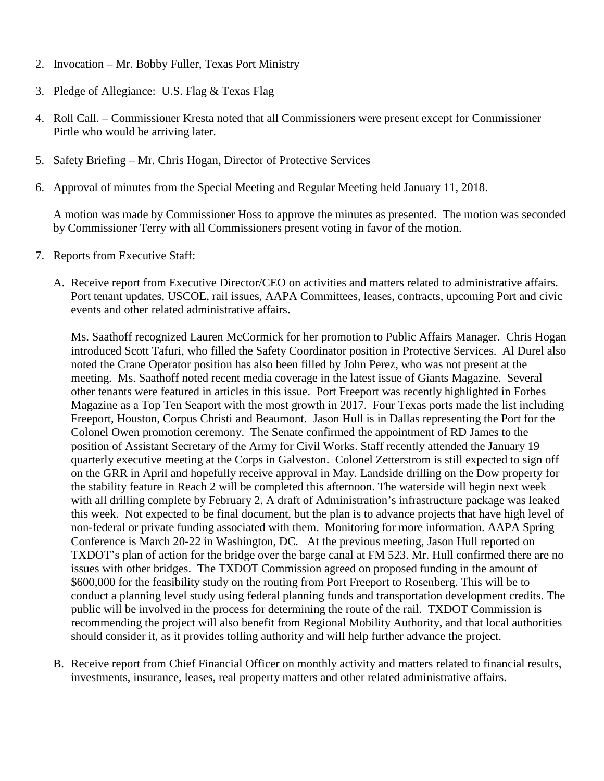- 2. Invocation Mr. Bobby Fuller, Texas Port Ministry
- 3. Pledge of Allegiance: U.S. Flag & Texas Flag
- 4. Roll Call. Commissioner Kresta noted that all Commissioners were present except for Commissioner Pirtle who would be arriving later.
- 5. Safety Briefing Mr. Chris Hogan, Director of Protective Services
- 6. Approval of minutes from the Special Meeting and Regular Meeting held January 11, 2018.

A motion was made by Commissioner Hoss to approve the minutes as presented. The motion was seconded by Commissioner Terry with all Commissioners present voting in favor of the motion.

- 7. Reports from Executive Staff:
	- A. Receive report from Executive Director/CEO on activities and matters related to administrative affairs. Port tenant updates, USCOE, rail issues, AAPA Committees, leases, contracts, upcoming Port and civic events and other related administrative affairs.

Ms. Saathoff recognized Lauren McCormick for her promotion to Public Affairs Manager. Chris Hogan introduced Scott Tafuri, who filled the Safety Coordinator position in Protective Services. Al Durel also noted the Crane Operator position has also been filled by John Perez, who was not present at the meeting. Ms. Saathoff noted recent media coverage in the latest issue of Giants Magazine. Several other tenants were featured in articles in this issue. Port Freeport was recently highlighted in Forbes Magazine as a Top Ten Seaport with the most growth in 2017. Four Texas ports made the list including Freeport, Houston, Corpus Christi and Beaumont. Jason Hull is in Dallas representing the Port for the Colonel Owen promotion ceremony. The Senate confirmed the appointment of RD James to the position of Assistant Secretary of the Army for Civil Works. Staff recently attended the January 19 quarterly executive meeting at the Corps in Galveston. Colonel Zetterstrom is still expected to sign off on the GRR in April and hopefully receive approval in May. Landside drilling on the Dow property for the stability feature in Reach 2 will be completed this afternoon. The waterside will begin next week with all drilling complete by February 2. A draft of Administration's infrastructure package was leaked this week. Not expected to be final document, but the plan is to advance projects that have high level of non-federal or private funding associated with them. Monitoring for more information. AAPA Spring Conference is March 20-22 in Washington, DC. At the previous meeting, Jason Hull reported on TXDOT's plan of action for the bridge over the barge canal at FM 523. Mr. Hull confirmed there are no issues with other bridges. The TXDOT Commission agreed on proposed funding in the amount of \$600,000 for the feasibility study on the routing from Port Freeport to Rosenberg. This will be to conduct a planning level study using federal planning funds and transportation development credits. The public will be involved in the process for determining the route of the rail. TXDOT Commission is recommending the project will also benefit from Regional Mobility Authority, and that local authorities should consider it, as it provides tolling authority and will help further advance the project.

B. Receive report from Chief Financial Officer on monthly activity and matters related to financial results, investments, insurance, leases, real property matters and other related administrative affairs.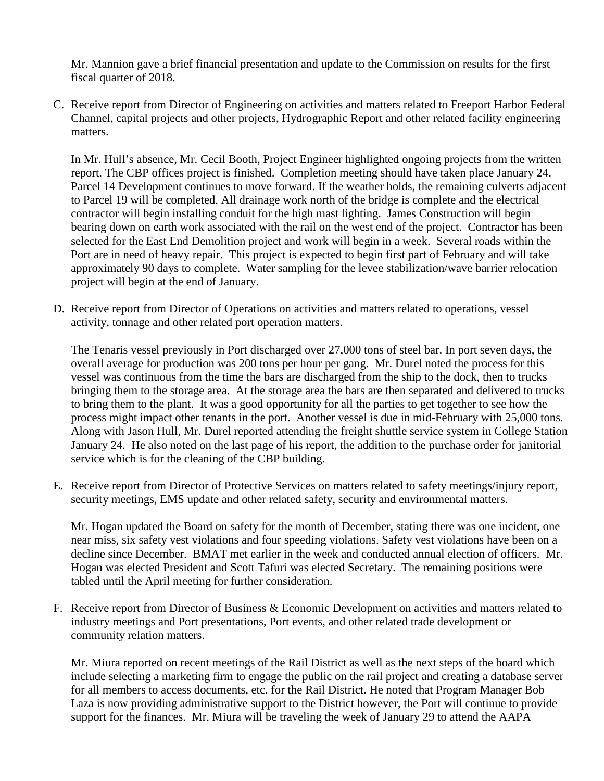Mr. Mannion gave a brief financial presentation and update to the Commission on results for the first fiscal quarter of 2018.

C. Receive report from Director of Engineering on activities and matters related to Freeport Harbor Federal Channel, capital projects and other projects, Hydrographic Report and other related facility engineering matters.

In Mr. Hull's absence, Mr. Cecil Booth, Project Engineer highlighted ongoing projects from the written report. The CBP offices project is finished. Completion meeting should have taken place January 24. Parcel 14 Development continues to move forward. If the weather holds, the remaining culverts adjacent to Parcel 19 will be completed. All drainage work north of the bridge is complete and the electrical contractor will begin installing conduit for the high mast lighting. James Construction will begin bearing down on earth work associated with the rail on the west end of the project. Contractor has been selected for the East End Demolition project and work will begin in a week. Several roads within the Port are in need of heavy repair. This project is expected to begin first part of February and will take approximately 90 days to complete. Water sampling for the levee stabilization/wave barrier relocation project will begin at the end of January.

D. Receive report from Director of Operations on activities and matters related to operations, vessel activity, tonnage and other related port operation matters.

The Tenaris vessel previously in Port discharged over 27,000 tons of steel bar. In port seven days, the overall average for production was 200 tons per hour per gang. Mr. Durel noted the process for this vessel was continuous from the time the bars are discharged from the ship to the dock, then to trucks bringing them to the storage area. At the storage area the bars are then separated and delivered to trucks to bring them to the plant. It was a good opportunity for all the parties to get together to see how the process might impact other tenants in the port. Another vessel is due in mid-February with 25,000 tons. Along with Jason Hull, Mr. Durel reported attending the freight shuttle service system in College Station January 24. He also noted on the last page of his report, the addition to the purchase order for janitorial service which is for the cleaning of the CBP building.

E. Receive report from Director of Protective Services on matters related to safety meetings/injury report, security meetings, EMS update and other related safety, security and environmental matters.

Mr. Hogan updated the Board on safety for the month of December, stating there was one incident, one near miss, six safety vest violations and four speeding violations. Safety vest violations have been on a decline since December. BMAT met earlier in the week and conducted annual election of officers. Mr. Hogan was elected President and Scott Tafuri was elected Secretary. The remaining positions were tabled until the April meeting for further consideration.

F. Receive report from Director of Business & Economic Development on activities and matters related to industry meetings and Port presentations, Port events, and other related trade development or community relation matters.

Mr. Miura reported on recent meetings of the Rail District as well as the next steps of the board which include selecting a marketing firm to engage the public on the rail project and creating a database server for all members to access documents, etc. for the Rail District. He noted that Program Manager Bob Laza is now providing administrative support to the District however, the Port will continue to provide support for the finances. Mr. Miura will be traveling the week of January 29 to attend the AAPA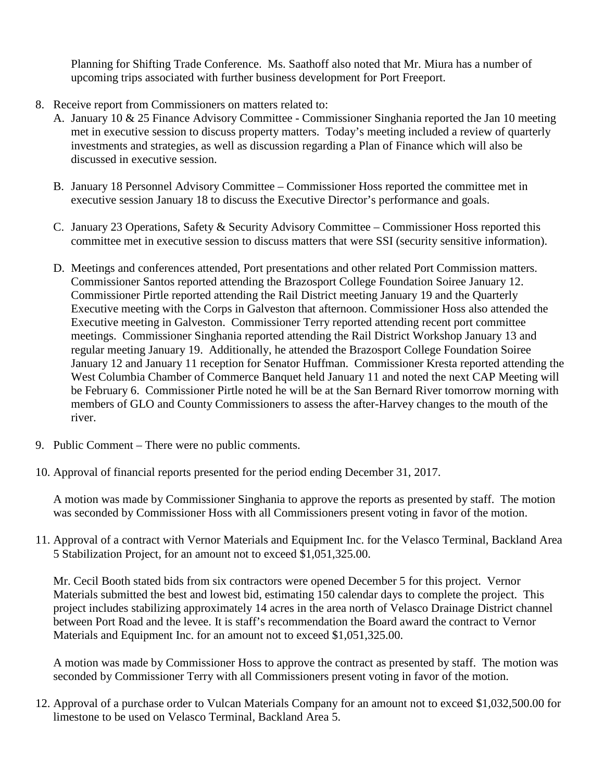Planning for Shifting Trade Conference. Ms. Saathoff also noted that Mr. Miura has a number of upcoming trips associated with further business development for Port Freeport.

- 8. Receive report from Commissioners on matters related to:
	- A. January 10 & 25 Finance Advisory Committee Commissioner Singhania reported the Jan 10 meeting met in executive session to discuss property matters. Today's meeting included a review of quarterly investments and strategies, as well as discussion regarding a Plan of Finance which will also be discussed in executive session.
	- B. January 18 Personnel Advisory Committee Commissioner Hoss reported the committee met in executive session January 18 to discuss the Executive Director's performance and goals.
	- C. January 23 Operations, Safety & Security Advisory Committee Commissioner Hoss reported this committee met in executive session to discuss matters that were SSI (security sensitive information).
	- D. Meetings and conferences attended, Port presentations and other related Port Commission matters. Commissioner Santos reported attending the Brazosport College Foundation Soiree January 12. Commissioner Pirtle reported attending the Rail District meeting January 19 and the Quarterly Executive meeting with the Corps in Galveston that afternoon. Commissioner Hoss also attended the Executive meeting in Galveston. Commissioner Terry reported attending recent port committee meetings. Commissioner Singhania reported attending the Rail District Workshop January 13 and regular meeting January 19. Additionally, he attended the Brazosport College Foundation Soiree January 12 and January 11 reception for Senator Huffman. Commissioner Kresta reported attending the West Columbia Chamber of Commerce Banquet held January 11 and noted the next CAP Meeting will be February 6. Commissioner Pirtle noted he will be at the San Bernard River tomorrow morning with members of GLO and County Commissioners to assess the after-Harvey changes to the mouth of the river.
- 9. Public Comment There were no public comments.
- 10. Approval of financial reports presented for the period ending December 31, 2017.

A motion was made by Commissioner Singhania to approve the reports as presented by staff. The motion was seconded by Commissioner Hoss with all Commissioners present voting in favor of the motion.

11. Approval of a contract with Vernor Materials and Equipment Inc. for the Velasco Terminal, Backland Area 5 Stabilization Project, for an amount not to exceed \$1,051,325.00.

Mr. Cecil Booth stated bids from six contractors were opened December 5 for this project. Vernor Materials submitted the best and lowest bid, estimating 150 calendar days to complete the project. This project includes stabilizing approximately 14 acres in the area north of Velasco Drainage District channel between Port Road and the levee. It is staff's recommendation the Board award the contract to Vernor Materials and Equipment Inc. for an amount not to exceed \$1,051,325.00.

A motion was made by Commissioner Hoss to approve the contract as presented by staff. The motion was seconded by Commissioner Terry with all Commissioners present voting in favor of the motion.

12. Approval of a purchase order to Vulcan Materials Company for an amount not to exceed \$1,032,500.00 for limestone to be used on Velasco Terminal, Backland Area 5.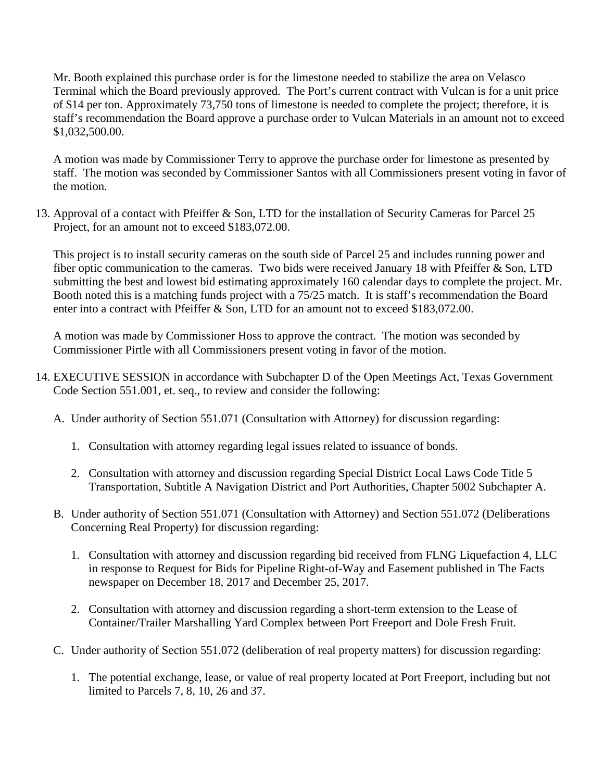Mr. Booth explained this purchase order is for the limestone needed to stabilize the area on Velasco Terminal which the Board previously approved. The Port's current contract with Vulcan is for a unit price of \$14 per ton. Approximately 73,750 tons of limestone is needed to complete the project; therefore, it is staff's recommendation the Board approve a purchase order to Vulcan Materials in an amount not to exceed \$1,032,500.00.

A motion was made by Commissioner Terry to approve the purchase order for limestone as presented by staff. The motion was seconded by Commissioner Santos with all Commissioners present voting in favor of the motion.

13. Approval of a contact with Pfeiffer & Son, LTD for the installation of Security Cameras for Parcel 25 Project, for an amount not to exceed \$183,072.00.

This project is to install security cameras on the south side of Parcel 25 and includes running power and fiber optic communication to the cameras. Two bids were received January 18 with Pfeiffer & Son, LTD submitting the best and lowest bid estimating approximately 160 calendar days to complete the project. Mr. Booth noted this is a matching funds project with a 75/25 match. It is staff's recommendation the Board enter into a contract with Pfeiffer & Son, LTD for an amount not to exceed \$183,072.00.

A motion was made by Commissioner Hoss to approve the contract. The motion was seconded by Commissioner Pirtle with all Commissioners present voting in favor of the motion.

- 14. EXECUTIVE SESSION in accordance with Subchapter D of the Open Meetings Act, Texas Government Code Section 551.001, et. seq., to review and consider the following:
	- A. Under authority of Section 551.071 (Consultation with Attorney) for discussion regarding:
		- 1. Consultation with attorney regarding legal issues related to issuance of bonds.
		- 2. Consultation with attorney and discussion regarding Special District Local Laws Code Title 5 Transportation, Subtitle A Navigation District and Port Authorities, Chapter 5002 Subchapter A.
	- B. Under authority of Section 551.071 (Consultation with Attorney) and Section 551.072 (Deliberations Concerning Real Property) for discussion regarding:
		- 1. Consultation with attorney and discussion regarding bid received from FLNG Liquefaction 4, LLC in response to Request for Bids for Pipeline Right-of-Way and Easement published in The Facts newspaper on December 18, 2017 and December 25, 2017.
		- 2. Consultation with attorney and discussion regarding a short-term extension to the Lease of Container/Trailer Marshalling Yard Complex between Port Freeport and Dole Fresh Fruit.
	- C. Under authority of Section 551.072 (deliberation of real property matters) for discussion regarding:
		- 1. The potential exchange, lease, or value of real property located at Port Freeport, including but not limited to Parcels 7, 8, 10, 26 and 37.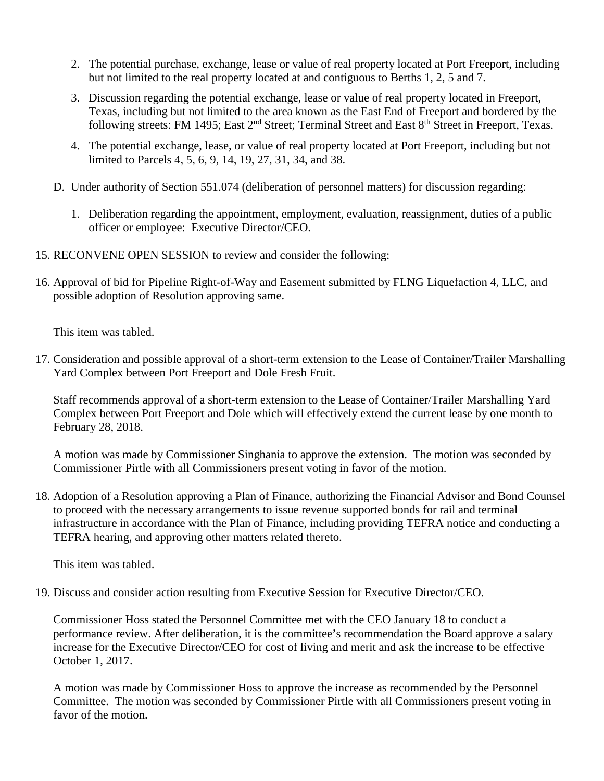- 2. The potential purchase, exchange, lease or value of real property located at Port Freeport, including but not limited to the real property located at and contiguous to Berths 1, 2, 5 and 7.
- 3. Discussion regarding the potential exchange, lease or value of real property located in Freeport, Texas, including but not limited to the area known as the East End of Freeport and bordered by the following streets: FM 1495; East 2<sup>nd</sup> Street; Terminal Street and East 8<sup>th</sup> Street in Freeport, Texas.
- 4. The potential exchange, lease, or value of real property located at Port Freeport, including but not limited to Parcels 4, 5, 6, 9, 14, 19, 27, 31, 34, and 38.
- D. Under authority of Section 551.074 (deliberation of personnel matters) for discussion regarding:
	- 1. Deliberation regarding the appointment, employment, evaluation, reassignment, duties of a public officer or employee: Executive Director/CEO.
- 15. RECONVENE OPEN SESSION to review and consider the following:
- 16. Approval of bid for Pipeline Right-of-Way and Easement submitted by FLNG Liquefaction 4, LLC, and possible adoption of Resolution approving same.

This item was tabled.

17. Consideration and possible approval of a short-term extension to the Lease of Container/Trailer Marshalling Yard Complex between Port Freeport and Dole Fresh Fruit.

Staff recommends approval of a short-term extension to the Lease of Container/Trailer Marshalling Yard Complex between Port Freeport and Dole which will effectively extend the current lease by one month to February 28, 2018.

A motion was made by Commissioner Singhania to approve the extension. The motion was seconded by Commissioner Pirtle with all Commissioners present voting in favor of the motion.

18. Adoption of a Resolution approving a Plan of Finance, authorizing the Financial Advisor and Bond Counsel to proceed with the necessary arrangements to issue revenue supported bonds for rail and terminal infrastructure in accordance with the Plan of Finance, including providing TEFRA notice and conducting a TEFRA hearing, and approving other matters related thereto.

This item was tabled.

19. Discuss and consider action resulting from Executive Session for Executive Director/CEO.

Commissioner Hoss stated the Personnel Committee met with the CEO January 18 to conduct a performance review. After deliberation, it is the committee's recommendation the Board approve a salary increase for the Executive Director/CEO for cost of living and merit and ask the increase to be effective October 1, 2017.

A motion was made by Commissioner Hoss to approve the increase as recommended by the Personnel Committee. The motion was seconded by Commissioner Pirtle with all Commissioners present voting in favor of the motion.